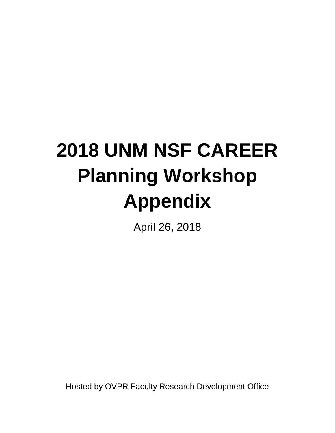# **2018 UNM NSF CAREER Planning Workshop Appendix**

April 26, 2018

Hosted by OVPR Faculty Research Development Office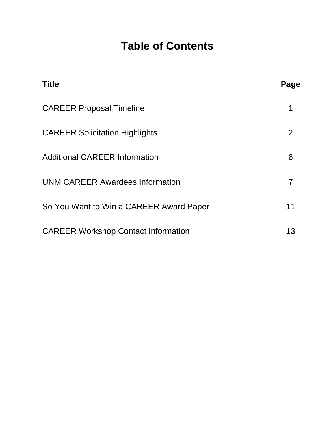# **Table of Contents**

| <b>Title</b>                               | Page           |
|--------------------------------------------|----------------|
| <b>CAREER Proposal Timeline</b>            | 1              |
| <b>CAREER Solicitation Highlights</b>      | $\overline{2}$ |
| <b>Additional CAREER Information</b>       | 6              |
| <b>UNM CAREER Awardees Information</b>     | $\overline{7}$ |
| So You Want to Win a CAREER Award Paper    | 11             |
| <b>CAREER Workshop Contact Information</b> | 13             |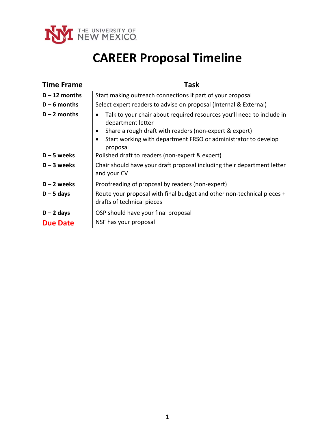

# **CAREER Proposal Timeline**

| <b>Time Frame</b> | <b>Task</b>                                                                                          |
|-------------------|------------------------------------------------------------------------------------------------------|
| $D - 12$ months   | Start making outreach connections if part of your proposal                                           |
| $D - 6$ months    | Select expert readers to advise on proposal (Internal & External)                                    |
| $D - 2$ months    | Talk to your chair about required resources you'll need to include in<br>department letter           |
|                   | Share a rough draft with readers (non-expert & expert)                                               |
|                   | Start working with department FRSO or administrator to develop<br>proposal                           |
| $D - 5$ weeks     | Polished draft to readers (non-expert & expert)                                                      |
| $D - 3$ weeks     | Chair should have your draft proposal including their department letter<br>and your CV               |
| $D - 2$ weeks     | Proofreading of proposal by readers (non-expert)                                                     |
| $D - 5$ days      | Route your proposal with final budget and other non-technical pieces +<br>drafts of technical pieces |
| $D - 2$ days      | OSP should have your final proposal                                                                  |
| <b>Due Date</b>   | NSF has your proposal                                                                                |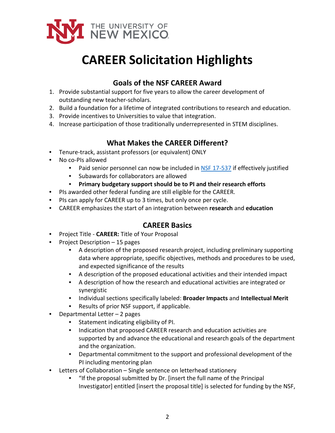

# **CAREER Solicitation Highlights**

# **Goals of the NSF CAREER Award**

- 1. Provide substantial support for five years to allow the career development of outstanding new teacher-scholars.
- 2. Build a foundation for a lifetime of integrated contributions to research and education.
- 3. Provide incentives to Universities to value that integration.
- 4. Increase participation of those traditionally underrepresented in STEM disciplines.

## **What Makes the CAREER Different?**

- Tenure-track, assistant professors (or equivalent) ONLY
- No co-PIs allowed
	- Paid senior personnel can now be included in [NSF 17-537](https://www.nsf.gov/pubs/2017/nsf17537/nsf17537.pdf) if effectively justified
	- Subawards for collaborators are allowed
	- **Primary budgetary support should be to PI and their research efforts**
- PIs awarded other federal funding are still eligible for the CAREER.
- PIs can apply for CAREER up to 3 times, but only once per cycle.
- CAREER emphasizes the start of an integration between **research** and **education**

### **CAREER Basics**

- Project Title **CAREER:** Title of Your Proposal
- Project Description 15 pages
	- A description of the proposed research project, including preliminary supporting data where appropriate, specific objectives, methods and procedures to be used, and expected significance of the results
	- A description of the proposed educational activities and their intended impact
	- A description of how the research and educational activities are integrated or synergistic
	- Individual sections specifically labeled: **Broader Impacts** and **Intellectual Merit**
	- Results of prior NSF support, if applicable.
- Departmental Letter  $-2$  pages
	- Statement indicating eligibility of PI.
	- Indication that proposed CAREER research and education activities are supported by and advance the educational and research goals of the department and the organization.
	- Departmental commitment to the support and professional development of the PI including mentoring plan
- Letters of Collaboration Single sentence on letterhead stationery
	- "If the proposal submitted by Dr. [insert the full name of the Principal Investigator] entitled [insert the proposal title] is selected for funding by the NSF,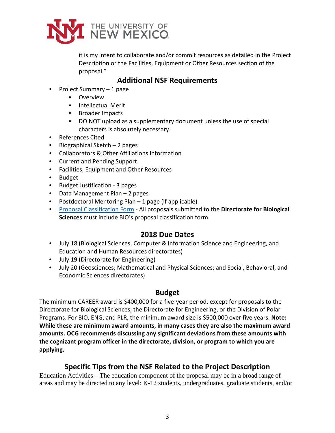

it is my intent to collaborate and/or commit resources as detailed in the Project Description or the Facilities, Equipment or Other Resources section of the proposal."

### **Additional NSF Requirements**

- Project Summary 1 page
	- Overview
	- Intellectual Merit
	- Broader Impacts
	- DO NOT upload as a supplementary document unless the use of special characters is absolutely necessary.
- References Cited
- Biographical Sketch 2 pages
- Collaborators & Other Affiliations Information
- Current and Pending Support
- Facilities, Equipment and Other Resources
- Budget
- Budget Justification 3 pages
- Data Management Plan 2 pages
- Postdoctoral Mentoring Plan 1 page (if applicable)
- [Proposal Classification Form](https://www.reginfo.gov/public/do/PRAViewIC?ref_nbr=200906-3145-002&icID=44202)  All proposals submitted to the **Directorate for Biological Sciences** must include BIO's proposal classification form.

### **2018 Due Dates**

- July 18 (Biological Sciences, Computer & Information Science and Engineering, and Education and Human Resources directorates)
- July 19 (Directorate for Engineering)
- July 20 (Geosciences; Mathematical and Physical Sciences; and Social, Behavioral, and Economic Sciences directorates)

### **Budget**

The minimum CAREER award is \$400,000 for a five-year period, except for proposals to the Directorate for Biological Sciences, the Directorate for Engineering, or the Division of Polar Programs. For BIO, ENG, and PLR, the minimum award size is \$500,000 over five years. **Note: While these are minimum award amounts, in many cases they are also the maximum award amounts. OCG recommends discussing any significant deviations from these amounts with the cognizant program officer in the directorate, division, or program to which you are applying.**

### **Specific Tips from the NSF Related to the Project Description**

Education Activities – The education component of the proposal may be in a broad range of areas and may be directed to any level: K-12 students, undergraduates, graduate students, and/or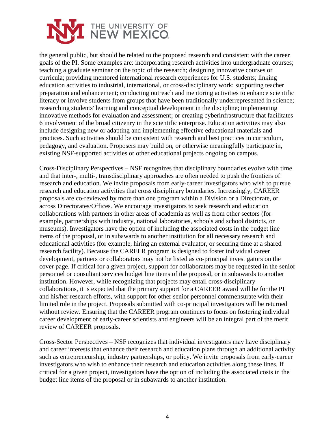

the general public, but should be related to the proposed research and consistent with the career goals of the PI. Some examples are: incorporating research activities into undergraduate courses; teaching a graduate seminar on the topic of the research; designing innovative courses or curricula; providing mentored international research experiences for U.S. students; linking education activities to industrial, international, or cross-disciplinary work; supporting teacher preparation and enhancement; conducting outreach and mentoring activities to enhance scientific literacy or involve students from groups that have been traditionally underrepresented in science; researching students' learning and conceptual development in the discipline; implementing innovative methods for evaluation and assessment; or creating cyberinfrastructure that facilitates 6 involvement of the broad citizenry in the scientific enterprise. Education activities may also include designing new or adapting and implementing effective educational materials and practices. Such activities should be consistent with research and best practices in curriculum, pedagogy, and evaluation. Proposers may build on, or otherwise meaningfully participate in, existing NSF-supported activities or other educational projects ongoing on campus.

Cross-Disciplinary Perspectives – NSF recognizes that disciplinary boundaries evolve with time and that inter-, multi-, transdisciplinary approaches are often needed to push the frontiers of research and education. We invite proposals from early-career investigators who wish to pursue research and education activities that cross disciplinary boundaries. Increasingly, CAREER proposals are co-reviewed by more than one program within a Division or a Directorate, or across Directorates/Offices. We encourage investigators to seek research and education collaborations with partners in other areas of academia as well as from other sectors (for example, partnerships with industry, national laboratories, schools and school districts, or museums). Investigators have the option of including the associated costs in the budget line items of the proposal, or in subawards to another institution for all necessary research and educational activities (for example, hiring an external evaluator, or securing time at a shared research facility). Because the CAREER program is designed to foster individual career development, partners or collaborators may not be listed as co-principal investigators on the cover page. If critical for a given project, support for collaborators may be requested in the senior personnel or consultant services budget line items of the proposal, or in subawards to another institution. However, while recognizing that projects may entail cross-disciplinary collaborations, it is expected that the primary support for a CAREER award will be for the PI and his/her research efforts, with support for other senior personnel commensurate with their limited role in the project. Proposals submitted with co-principal investigators will be returned without review. Ensuring that the CAREER program continues to focus on fostering individual career development of early-career scientists and engineers will be an integral part of the merit review of CAREER proposals.

Cross-Sector Perspectives – NSF recognizes that individual investigators may have disciplinary and career interests that enhance their research and education plans through an additional activity such as entrepreneurship, industry partnerships, or policy. We invite proposals from early-career investigators who wish to enhance their research and education activities along these lines. If critical for a given project, investigators have the option of including the associated costs in the budget line items of the proposal or in subawards to another institution.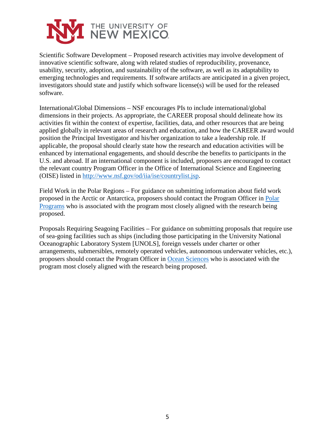

Scientific Software Development – Proposed research activities may involve development of innovative scientific software, along with related studies of reproducibility, provenance, usability, security, adoption, and sustainability of the software, as well as its adaptability to emerging technologies and requirements. If software artifacts are anticipated in a given project, investigators should state and justify which software license(s) will be used for the released software.

International/Global Dimensions – NSF encourages PIs to include international/global dimensions in their projects. As appropriate, the CAREER proposal should delineate how its activities fit within the context of expertise, facilities, data, and other resources that are being applied globally in relevant areas of research and education, and how the CAREER award would position the Principal Investigator and his/her organization to take a leadership role. If applicable, the proposal should clearly state how the research and education activities will be enhanced by international engagements, and should describe the benefits to participants in the U.S. and abroad. If an international component is included, proposers are encouraged to contact the relevant country Program Officer in the Office of International Science and Engineering (OISE) listed in [http://www.nsf.gov/od/iia/ise/countrylist.jsp.](http://www.nsf.gov/od/iia/ise/countrylist.jsp)

Field Work in the Polar Regions – For guidance on submitting information about field work proposed in the Arctic or Antarctica, proposers should contact the Program Officer in [Polar](http://www.nsf.gov/div/index.jsp?div=PLR)  [Programs](http://www.nsf.gov/div/index.jsp?div=PLR) who is associated with the program most closely aligned with the research being proposed.

Proposals Requiring Seagoing Facilities – For guidance on submitting proposals that require use of sea-going facilities such as ships (including those participating in the University National Oceanographic Laboratory System [UNOLS], foreign vessels under charter or other arrangements, submersibles, remotely operated vehicles, autonomous underwater vehicles, etc.), proposers should contact the Program Officer in [Ocean Sciences](http://www.nsf.gov/div/index.jsp?div=OCE) who is associated with the program most closely aligned with the research being proposed.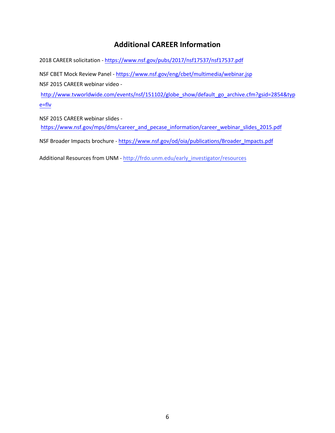## **Additional CAREER Information**

2018 CAREER solicitation [- https://www.nsf.gov/pubs/2017/nsf17537/nsf17537.pdf](https://www.nsf.gov/pubs/2017/nsf17537/nsf17537.pdf)

NSF CBET Mock Review Panel -<https://www.nsf.gov/eng/cbet/multimedia/webinar.jsp>

NSF 2015 CAREER webinar video -

[http://www.tvworldwide.com/events/nsf/151102/globe\\_show/default\\_go\\_archive.cfm?gsid=2854&typ](http://www.tvworldwide.com/events/nsf/151102/globe_show/default_go_archive.cfm?gsid=2854&type=flv) [e=flv](http://www.tvworldwide.com/events/nsf/151102/globe_show/default_go_archive.cfm?gsid=2854&type=flv)

NSF 2015 CAREER webinar slides [https://www.nsf.gov/mps/dms/career\\_and\\_pecase\\_information/career\\_webinar\\_slides\\_2015.pdf](https://www.nsf.gov/mps/dms/career_and_pecase_information/career_webinar_slides_2015.pdf)

NSF Broader Impacts brochure - [https://www.nsf.gov/od/oia/publications/Broader\\_Impacts.pdf](https://www.nsf.gov/od/oia/publications/Broader_Impacts.pdf)

Additional Resources from UNM - http://frdo.unm.edu/early\_investigator/resources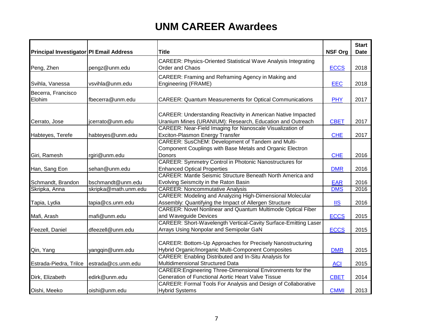| Principal Investigator PI Email Address |                                          | <b>Title</b>                                                                                                                                                  | <b>NSF Org</b>           | <b>Start</b><br><b>Date</b> |
|-----------------------------------------|------------------------------------------|---------------------------------------------------------------------------------------------------------------------------------------------------------------|--------------------------|-----------------------------|
| Peng, Zhen                              | pengz@unm.edu                            | <b>CAREER: Physics-Oriented Statistical Wave Analysis Integrating</b><br>Order and Chaos                                                                      | <b>ECCS</b>              | 2018                        |
| Svihla, Vanessa                         | vsvihla@unm.edu                          | CAREER: Framing and Reframing Agency in Making and<br>Engineering (FRAME)                                                                                     | <b>EEC</b>               | 2018                        |
| Becerra, Francisco<br>Elohim            | fbecerra@unm.edu                         | <b>CAREER: Quantum Measurements for Optical Communications</b>                                                                                                | <b>PHY</b>               | 2017                        |
| Cerrato, Jose                           | jcerrato@unm.edu                         | CAREER: Understanding Reactivity in American Native Impacted<br>Uranium Mines (URANIUM): Research, Education and Outreach                                     | <b>CBET</b>              | 2017                        |
| Habteyes, Terefe                        | habteyes@unm.edu                         | CAREER: Near-Field Imaging for Nanoscale Visualization of<br>Exciton-Plasmon Energy Transfer                                                                  | <b>CHE</b>               | 2017                        |
| Giri, Ramesh                            | rgiri@unm.edu                            | CAREER: SusChEM: Development of Tandem and Multi-<br>Component Couplings with Base Metals and Organic Electron<br>Donors                                      | <b>CHE</b>               | 2016                        |
| Han, Sang Eon                           | sehan@unm.edu                            | <b>CAREER: Symmetry Control in Photonic Nanostructures for</b><br><b>Enhanced Optical Properties</b>                                                          | <b>DMR</b>               | 2016                        |
| Schmandt, Brandon                       | bschmandt@unm.edu                        | <b>CAREER: Mantle Seismic Structure Beneath North America and</b><br>Evolving Seismcity in the Raton Basin                                                    | <b>EAR</b>               | 2016                        |
| Skripka, Anna<br>Tapia, Lydia           | skripka@math.unm.edu<br>tapia@cs.unm.edu | <b>CAREER: Noncommutative Analysis</b><br>CAREER: Modeling and Analyzing High-Dimensional Molecular<br>Assembly: Quantifying the Impact of Allergen Structure | <b>DMS</b><br><b>IIS</b> | 2016<br>2016                |
| Mafi, Arash                             | mafi@unm.edu                             | <b>CAREER: Novel Nonlinear and Quantum Multimode Optical Fiber</b><br>and Waveguide Devices                                                                   | <b>ECCS</b>              | 2015                        |
| Feezell, Daniel                         | dfeezell@unm.edu                         | CAREER: Short-Wavelength Vertical-Cavity Surface-Emitting Laser<br>Arrays Using Nonpolar and Semipolar GaN                                                    | <b>ECCS</b>              | 2015                        |
| Qin, Yang                               | yangqin@unm.edu                          | CAREER: Bottom-Up Approaches for Precisely Nanostructuring<br>Hybrid Organic/Inorganic Multi-Component Composites                                             | <b>DMR</b>               | 2015                        |
| Estrada-Piedra, Trilce                  | estrada@cs.unm.edu                       | CAREER: Enabling Distributed and In-Situ Analysis for<br>Multidimensional Structured Data                                                                     | <b>ACI</b>               | 2015                        |
| Dirk, Elizabeth                         | edirk@unm.edu                            | CAREER: Engineering Three-Dimensional Environments for the<br>Generation of Functional Aortic Heart Valve Tissue                                              | <b>CBET</b>              | 2014                        |
| Oishi, Meeko                            | oishi@unm.edu                            | CAREER: Formal Tools For Analysis and Design of Collaborative<br><b>Hybrid Systems</b>                                                                        | <b>CMMI</b>              | 2013                        |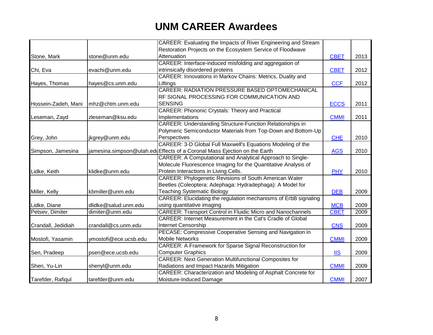|                     |                       | CAREER: Evaluating the Impacts of River Engineering and Stream           |             |      |
|---------------------|-----------------------|--------------------------------------------------------------------------|-------------|------|
|                     |                       | Restoration Projects on the Ecosystem Service of Floodwave               |             |      |
| Stone, Mark         | stone@unm.edu         | Attenuation                                                              | <b>CBET</b> | 2013 |
|                     |                       | CAREER: Interface-induced misfolding and aggregation of                  |             |      |
| Chi, Eva            | evachi@unm.edu        | intrinsically disordered proteins                                        | <b>CBET</b> | 2012 |
|                     |                       | CAREER: Innovations in Markov Chains: Metrics, Duality and               |             |      |
| Hayes, Thomas       | hayes@cs.unm.edu      | Liftings                                                                 | <b>CCF</b>  | 2012 |
|                     |                       | CAREER: RADIATION PRESSURE BASED OPTOMECHANICAL                          |             |      |
|                     |                       | RF SIGNAL PROCESSING FOR COMMUNICATION AND                               |             |      |
| Hossein-Zadeh, Mani | mhz@chtm.unm.edu      | <b>SENSING</b>                                                           | <b>ECCS</b> | 2011 |
|                     |                       | <b>CAREER: Phononic Crystals: Theory and Practical</b>                   |             |      |
| Leseman, Zayd       | zleseman@ksu.edu      | Implementations                                                          | <b>CMMI</b> | 2011 |
|                     |                       | <b>CAREER: Understanding Structure-Function Relationships in</b>         |             |      |
|                     |                       | Polymeric Semiconductor Materials from Top-Down and Bottom-Up            |             |      |
| Grey, John          | jkgrey@unm.edu        | Perspectives                                                             | <b>CHE</b>  | 2010 |
|                     |                       | CAREER: 3-D Global Full Maxwell's Equations Modeling of the              |             |      |
| Simpson, Jamesina   |                       | jamesina.simpson@utah.eduEffects of a Coronal Mass Ejection on the Earth | <b>AGS</b>  | 2010 |
|                     |                       | CAREER: A Computational and Analytical Approach to Single-               |             |      |
|                     |                       | Molecule Fluorescence Imaging for the Quantitative Analysis of           |             |      |
| Lidke, Keith        | klidke@unm.edu        | Protein Interactions in Living Cells.                                    | <b>PHY</b>  | 2010 |
|                     |                       | <b>CAREER: Phylogenetic Revisions of South American Water</b>            |             |      |
|                     |                       | Beetles (Coleoptera: Adephaga: Hydradephaga): A Model for                |             |      |
| Miller, Kelly       | kbmiller@unm.edu      | <b>Teaching Systematic Biology</b>                                       | <b>DEB</b>  | 2009 |
|                     |                       | CAREER: Elucidating the regulation mechanisms of ErbB signaling          |             |      |
| Lidke, Diane        | dlidke@salud.unm.edu  | using quantitative imaging                                               | <b>MCB</b>  | 2009 |
| Petsev, Dimiter     | dimiter@unm.edu       | <b>CAREER: Transport Control in Fluidic Micro and Nanochannels</b>       | <b>CBET</b> | 2009 |
|                     |                       | CAREER: Internet Measurement in the Cat's Cradle of Global               |             |      |
| Crandall, Jedidiah  | crandall@cs.unm.edu   | Internet Censorship                                                      | <b>CNS</b>  | 2009 |
|                     |                       | PECASE: Compressive Cooperative Sensing and Navigation in                |             |      |
| Mostofi, Yasamin    | ymostofi@ece.ucsb.edu | <b>Mobile Networks</b>                                                   | <b>CMMI</b> | 2009 |
|                     |                       | <b>CAREER: A Framework for Sparse Signal Reconstruction for</b>          |             |      |
| Sen, Pradeep        | psen@ece.ucsb.edu     | <b>Computer Graphics</b>                                                 | $II$        | 2009 |
|                     |                       | <b>CAREER: Next Generation Multifunctional Composites for</b>            |             |      |
| Shen, Yu-Lin        | shenyl@unm.edu        | Radiations and Impact Hazards Mitigation                                 | <b>CMMI</b> | 2009 |
|                     |                       | CAREER: Characterization and Modeling of Asphalt Concrete for            |             |      |
| Tarefder, Rafiqul   | tarefder@unm.edu      | Moisture-Induced Damage                                                  | <b>CMMI</b> | 2007 |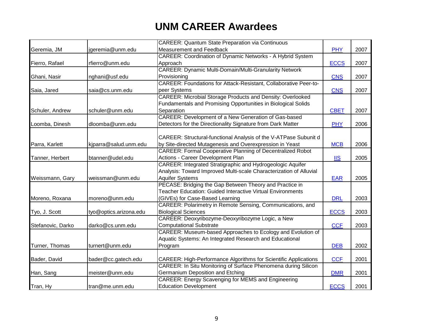|                   |                        | <b>CAREER: Quantum State Preparation via Continuous</b>                |             |      |
|-------------------|------------------------|------------------------------------------------------------------------|-------------|------|
| Geremia, JM       | jgeremia@unm.edu       | Measurement and Feedback                                               | <b>PHY</b>  | 2007 |
|                   |                        | <b>CAREER: Coordination of Dynamic Networks - A Hybrid System</b>      |             |      |
| Fierro, Rafael    | rfierro@unm.edu        | Approach                                                               | <b>ECCS</b> | 2007 |
|                   |                        | CAREER: Dynamic Multi-Domain/Multi-Granularity Network                 |             |      |
| Ghani, Nasir      | nghani@usf.edu         | Provisioning                                                           | <b>CNS</b>  | 2007 |
|                   |                        | CAREER: Foundations for Attack-Resistant, Collaborative Peer-to-       |             |      |
| Saia, Jared       | saia@cs.unm.edu        | peer Systems                                                           | <b>CNS</b>  | 2007 |
|                   |                        | <b>CAREER: Microbial Storage Products and Density: Overlooked</b>      |             |      |
|                   |                        | Fundamentals and Promising Opportunities in Biological Solids          |             |      |
| Schuler, Andrew   | schuler@unm.edu        | Separation                                                             | <b>CBET</b> | 2007 |
|                   |                        | CAREER: Development of a New Generation of Gas-based                   |             |      |
| Loomba, Dinesh    | dloomba@unm.edu        | Detectors for the Directionality Signature from Dark Matter            | <b>PHY</b>  | 2006 |
|                   |                        |                                                                        |             |      |
|                   |                        | CAREER: Structural-functional Analysis of the V-ATPase Subunit d       |             |      |
| Parra, Karlett    | kjparra@salud.unm.edu  | by Site-directed Mutagenesis and Overexpression in Yeast               | <b>MCB</b>  | 2006 |
|                   |                        | <b>CAREER: Formal Cooperative Planning of Decentralized Robot</b>      |             |      |
| Tanner, Herbert   | btanner@udel.edu       | Actions - Career Development Plan                                      | <b>IIS</b>  | 2005 |
|                   |                        | CAREER: Integrated Stratigraphic and Hydrogeologic Aquifer             |             |      |
|                   |                        | Analysis: Toward Improved Multi-scale Characterization of Alluvial     |             |      |
| Weissmann, Gary   | weissman@unm.edu       | <b>Aquifer Systems</b>                                                 | <b>EAR</b>  | 2005 |
|                   |                        | PECASE: Bridging the Gap Between Theory and Practice in                |             |      |
|                   |                        | <b>Teacher Education: Guided Interactive Virtual Environments</b>      |             |      |
| Moreno, Roxana    | moreno@unm.edu         | (GIVEs) for Case-Based Learning                                        | <b>DRL</b>  | 2003 |
|                   |                        | CAREER: Polarimetry in Remote Sensing, Communications, and             |             |      |
| Tyo, J. Scott     | tyo@optics.arizona.edu | <b>Biological Sciences</b>                                             | <b>ECCS</b> | 2003 |
|                   |                        | CAREER: Deoxyribozyme-Deoxyribozyme Logic, a New                       |             |      |
| Stefanovic, Darko | darko@cs.unm.edu       | <b>Computational Substrate</b>                                         | <b>CCF</b>  | 2003 |
|                   |                        | CAREER: Museum-based Approaches to Ecology and Evolution of            |             |      |
|                   |                        | Aquatic Systems: An Integrated Research and Educational                |             |      |
| Turner, Thomas    | turnert@unm.edu        | Program                                                                | <b>DEB</b>  | 2002 |
|                   |                        |                                                                        |             |      |
| Bader, David      | bader@cc.gatech.edu    | <b>CAREER: High-Performance Algorithms for Scientific Applications</b> | <b>CCF</b>  | 2001 |
|                   |                        | CAREER: In Situ Monitoring of Surface Phenomena during Silicon         |             |      |
| Han, Sang         | meister@unm.edu        | Germanium Deposition and Etching                                       | <b>DMR</b>  | 2001 |
|                   |                        | <b>CAREER: Energy Scavenging for MEMS and Engineering</b>              |             |      |
| Tran, Hy          | tran@me.unm.edu        | <b>Education Development</b>                                           | <b>ECCS</b> | 2001 |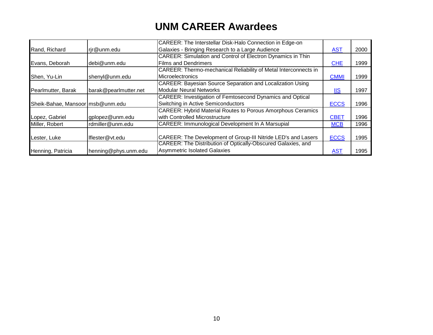|                                  |                       | CAREER: The Interstellar Disk-Halo Connection in Edge-on           |                            |      |
|----------------------------------|-----------------------|--------------------------------------------------------------------|----------------------------|------|
| Rand, Richard                    | rjr@unm.edu           | Galaxies - Bringing Research to a Large Audience                   | <b>AST</b>                 | 2000 |
|                                  |                       | <b>CAREER: Simulation and Control of Electron Dynamics in Thin</b> |                            |      |
| Evans, Deborah                   | debi@unm.edu          | <b>Films and Dendrimers</b>                                        | <b>CHE</b>                 | 1999 |
|                                  |                       | CAREER: Thermo-mechanical Reliability of Metal Interconnects in    |                            |      |
| Shen, Yu-Lin                     | shenyl@unm.edu        | Microelectronics                                                   | <b>CMMI</b>                | 1999 |
|                                  |                       | <b>CAREER: Bayesian Source Separation and Localization Using</b>   |                            |      |
| Pearlmutter, Barak               | barak@pearlmutter.net | Modular Neural Networks                                            | $\underline{\mathsf{IIS}}$ | 1997 |
|                                  |                       | CAREER: Investigation of Femtosecond Dynamics and Optical          |                            |      |
| Sheik-Bahae, Mansoor msb@unm.edu |                       | Switching in Active Semiconductors                                 | <b>ECCS</b>                | 1996 |
|                                  |                       | <b>CAREER: Hybrid Material Routes to Porous Amorphous Ceramics</b> |                            |      |
| Lopez, Gabriel                   | gplopez@unm.edu       | with Controlled Microstructure                                     | <b>CBET</b>                | 1996 |
| Miller, Robert                   | rdmiller@unm.edu      | CAREER: Immunological Development In A Marsupial                   | <b>MCB</b>                 | 1996 |
|                                  |                       |                                                                    |                            |      |
| Lester, Luke                     | lflester@vt.edu       | CAREER: The Development of Group-III Nitride LED's and Lasers      | <b>ECCS</b>                | 1995 |
|                                  |                       | CAREER: The Distribution of Optically-Obscured Galaxies, and       |                            |      |
| Henning, Patricia                | henning@phys.unm.edu  | Asymmetric Isolated Galaxies                                       | <b>AST</b>                 | 1995 |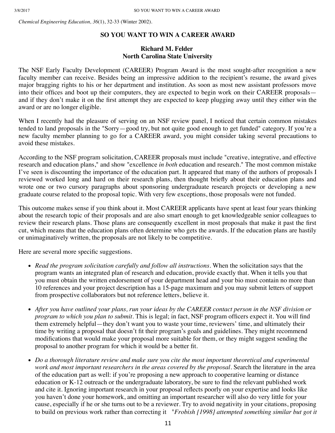*Chemical Engineering Education, 36*(1), 32-33 (Winter 2002).

#### **SO YOU WANT TO WIN A CAREER AWARD**

#### **Richard M. Felder North Carolina State University**

The NSF Early Faculty Development (CAREER) Program Award is the most sought-after recognition a new faculty member can receive. Besides being an impressive addition to the recipient's resume, the award gives major bragging rights to his or her department and institution. As soon as most new assistant professors move into their offices and boot up their computers, they are expected to begin work on their CAREER proposals and if they don't make it on the first attempt they are expected to keep plugging away until they either win the award or are no longer eligible.

When I recently had the pleasure of serving on an NSF review panel, I noticed that certain common mistakes tended to land proposals in the "Sorry—good try, but not quite good enough to get funded" category. If you're a new faculty member planning to go for a CAREER award, you might consider taking several precautions to avoid these mistakes.

According to the NSF program solicitation, CAREER proposals must include "creative, integrative, and effective research and education plans," and show "excellence *in both* education and research." The most common mistake I've seen is discounting the importance of the education part. It appeared that many of the authors of proposals I reviewed worked long and hard on their research plans, then thought briefly about their education plans and wrote one or two cursory paragraphs about sponsoring undergraduate research projects or developing a new graduate course related to the proposal topic. With very few exceptions, those proposals were not funded.

This outcome makes sense if you think about it. Most CAREER applicants have spent at least four years thinking about the research topic of their proposals and are also smart enough to get knowledgeable senior colleagues to review their research plans. Those plans are consequently excellent in most proposals that make it past the first cut, which means that the education plans often determine who gets the awards. If the education plans are hastily or unimaginatively written, the proposals are not likely to be competitive.

Here are several more specific suggestions.

- *Read the program solicitation carefully and follow all instructions.* When the solicitation says that the program wants an integrated plan of research and education, provide exactly that. When it tells you that you must obtain the written endorsement of your department head and your bio must contain no more than 10 references and your project description has a 15-page maximum and you may submit letters of support from prospective collaborators but not reference letters, believe it.
- *After you have outlined your plans, run your ideas by the CAREER contact person in the NSF division or program to which you plan to submit.* This is legal; in fact, NSF program officers expect it. You will find them extremely helpful—they don't want you to waste your time, reviewers' time, and ultimately their time by writing a proposal that doesn't fit their program's goals and guidelines. They might recommend modifications that would make your proposal more suitable for them, or they might suggest sending the proposal to another program for which it would be a better fit.
- *Do a thorough literature review and make sure you cite the most important theoretical and experimental* work and most important researchers in the areas covered by the proposal. Search the literature in the area of the education part as well: if you're proposing a new approach to cooperative learning or distance education or K-12 outreach or the undergraduate laboratory, be sure to find the relevant published work and cite it. Ignoring important research in your proposal reflects poorly on your expertise and looks like you haven't done your homework, and omitting an important researcher will also do very little for your cause, especially if he or she turns out to be a reviewer. Try to avoid negativity in your citations, proposing to build on previous work rather than correcting it "*Frobish [1998] attempted something similar but got it*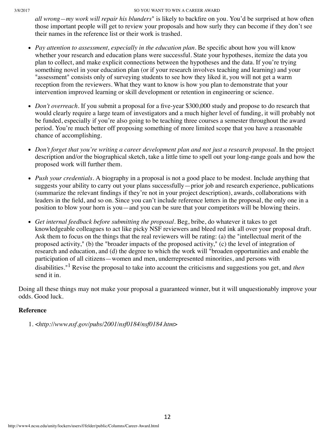#### 3/8/2017 SO YOU WANT TO WIN A CAREER AWARD

*all wrong—my work will repair his blunders*" is likely to backfire on you. You'd be surprised at how often those important people will get to review your proposals and how surly they can become if they don't see their names in the reference list or their work is trashed.

- Pay attention to assessment, especially in the education plan. Be specific about how you will know whether your research and education plans were successful. State your hypotheses, itemize the data you plan to collect, and make explicit connections between the hypotheses and the data. If you're trying something novel in your education plan (or if your research involves teaching and learning) and your "assessment" consists only of surveying students to see how they liked it, you will not get a warm reception from the reviewers. What they want to know is how you plan to demonstrate that your intervention improved learning or skill development or retention in engineering or science.
- *Don't overreach*. If you submit a proposal for a five-year \$300,000 study and propose to do research that would clearly require a large team of investigators and a much higher level of funding, it will probably not be funded, especially if you're also going to be teaching three courses a semester throughout the award period. You're much better off proposing something of more limited scope that you have a reasonable chance of accomplishing.
- Don't forget that you're writing a career development plan and not just a research proposal. In the project description and/or the biographical sketch, take a little time to spell out your long-range goals and how the proposed work will further them.
- *Push your credentials.* A biography in a proposal is not a good place to be modest. Include anything that suggests your ability to carry out your plans successfully—prior job and research experience, publications (summarize the relevant findings if they're not in your project description), awards, collaborations with leaders in the field, and so on. Since you can't include reference letters in the proposal, the only one in a position to blow your horn is you—and you can be sure that your competitors will be blowing theirs.
- Get internal feedback before submitting the proposal. Beg, bribe, do whatever it takes to get knowledgeable colleagues to act like picky NSF reviewers and bleed red ink all over your proposal draft. Ask them to focus on the things that the real reviewers will be rating: (a) the "intellectual merit of the proposed activity," (b) the "broader impacts of the proposed activity," (c) the level of integration of research and education, and (d) the degree to which the work will "broaden opportunities and enable the participation of all citizens—women and men, underrepresented minorities, and persons with disabilities."<sup>1</sup> Revise the proposal to take into account the criticisms and suggestions you get, and *then* send it in.

Doing all these things may not make your proposal a guaranteed winner, but it will unquestionably improve your odds. Good luck.

#### **Reference**

1. <*http://www.nsf.gov/pubs/2001/nsf0184/nsf0184.htm*>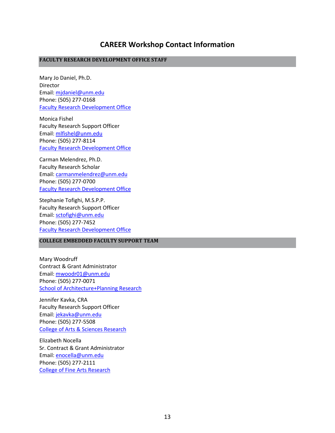### **CAREER Workshop Contact Information**

#### **FACULTY RESEARCH DEVELOPMENT OFFICE STAFF**

Mary Jo Daniel, Ph.D. Director Email: [mjdaniel@unm.edu](mailto:mjdaniel@unm.edu)  Phone: (505) 277-0168 Faculty Research Development Office

Monica Fishel Faculty Research Support Officer Email: [mlfishel@unm.edu](mailto:mlfishel@unm.edu) Phone: (505) 277-8114 Faculty Research Development Office

Carman Melendrez, Ph.D. Faculty Research Scholar Email: [carmanmelendrez@unm.edu](mailto:carmanmelendrez@unm.edu) Phone: (505) 277-0700 Faculty Research Development Office

Stephanie Tofighi, M.S.P.P. Faculty Research Support Officer Email: [sctofighi@unm.edu](mailto:sctofighi@unm.edu) Phone: (505) 277-7452 Faculty Research Development Office

#### **COLLEGE EMBEDDED FACULTY SUPPORT TEAM**

Mary Woodruff Contract & Grant Administrator Email: [mwoodr01@unm.edu](mailto:mwoodr01@unm.edu) Phone: (505) 277-0071 [School of Architecture+Planning Research](http://saap.unm.edu/resource-center/sap-people/research-support.html)

Jennifer Kavka, CRA Faculty Research Support Officer Email: [jekavka@unm.edu](mailto:jekavka@unm.edu) Phone: (505) 277-5508 [College of Arts & Sciences Research](http://asresearch.unm.edu/index.html)

Elizabeth Nocella Sr. Contract & Grant Administrator Email: [enocella@unm.edu](mailto:enocella@unm.edu) Phone: (505) 277-2111 [College of Fine Arts Research](http://finearts.unm.edu/cfa-research/)